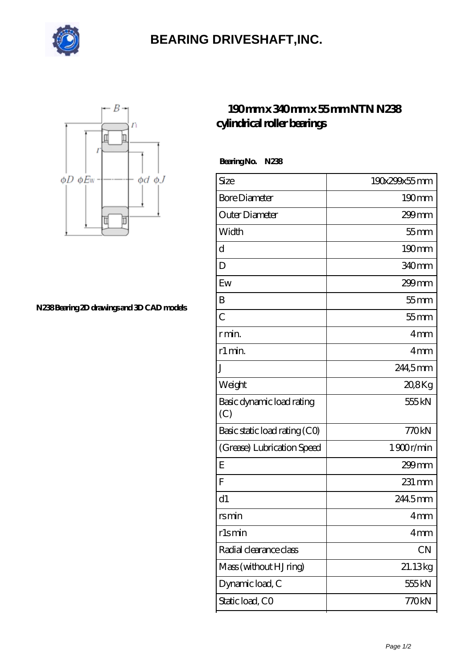

## **[BEARING DRIVESHAFT,INC.](https://m.visionsofzosimos.net)**



**[N238 Bearing 2D drawings and 3D CAD models](https://m.visionsofzosimos.net/pic-65123713.html)**

## **[190 mm x 340 mm x 55 mm NTN N238](https://m.visionsofzosimos.net/ntn-n238-bearing/) [cylindrical roller bearings](https://m.visionsofzosimos.net/ntn-n238-bearing/)**

 **Bearing No. N238**

| Size                             | 190x299x55mm        |
|----------------------------------|---------------------|
| <b>Bore Diameter</b>             | $190$ <sub>mm</sub> |
| Outer Diameter                   | $299$ mm            |
| Width                            | $55$ mm             |
| d                                | $190 \text{mm}$     |
| D                                | 340mm               |
| Ew                               | 299mm               |
| B                                | $55$ mm             |
| $\overline{C}$                   | $55$ mm             |
| r min.                           | 4 <sub>mm</sub>     |
| r1 min.                          | 4mm                 |
| J                                | 244,5mm             |
| Weight                           | 20,8Kg              |
| Basic dynamic load rating<br>(C) | 555 kN              |
| Basic static load rating (CO)    | 770kN               |
| (Grease) Lubrication Speed       | 1900r/min           |
| E                                | $299$ mm            |
| F                                | $231 \,\mathrm{mm}$ |
| d1                               | 2445mm              |
| rsmin                            | 4mm                 |
| rlsmin                           | 4mm                 |
| Radial clearance class           | CN                  |
| Mass (without HJ ring)           | 21.13kg             |
| Dynamic load, C                  | 555 kN              |
| Static load, CO                  | 770kN               |
|                                  |                     |